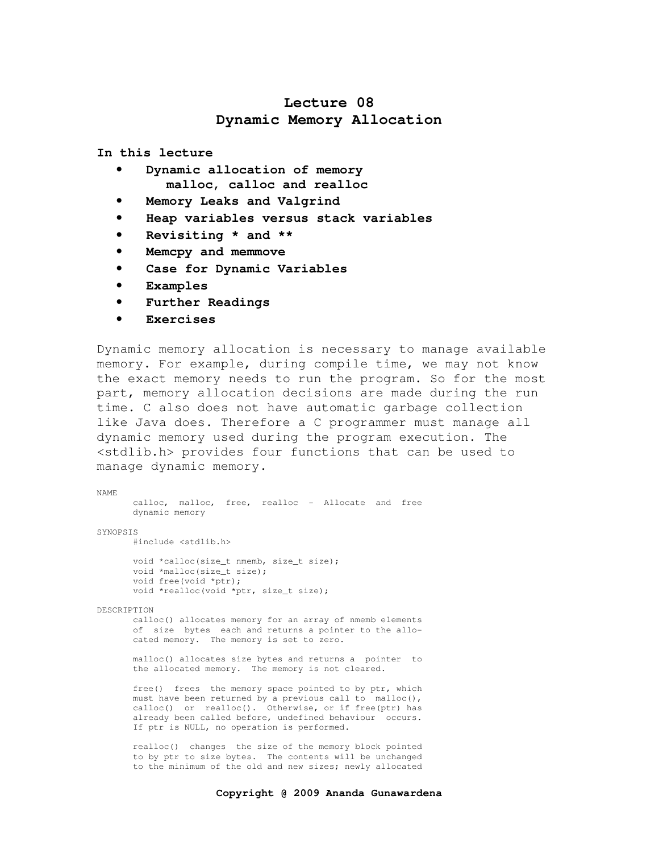# **Lecture 08 Dynamic Memory Allocation**

**In this lecture** 

- **Dynamic allocation of memory malloc, calloc and realloc**
- **Memory Leaks and Valgrind**
- **Heap variables versus stack variables**
- **Revisiting \* and \*\***
- **Memcpy and memmove**
- **Case for Dynamic Variables**
- **Examples**
- **Further Readings**
- **Exercises**

Dynamic memory allocation is necessary to manage available memory. For example, during compile time, we may not know the exact memory needs to run the program. So for the most part, memory allocation decisions are made during the run time. C also does not have automatic garbage collection like Java does. Therefore a C programmer must manage all dynamic memory used during the program execution. The <stdlib.h> provides four functions that can be used to manage dynamic memory.

NAME calloc, malloc, free, realloc - Allocate and free dynamic memory SYNOPSIS #include <stdlib.h> void \*calloc(size\_t nmemb, size\_t size); void \*malloc(size t size); void free(void \*ptr); void \*realloc(void \*ptr, size\_t size); DESCRIPTION calloc() allocates memory for an array of nmemb elements of size bytes each and returns a pointer to the allo cated memory. The memory is set to zero. malloc() allocates size bytes and returns a pointer to the allocated memory. The memory is not cleared. free() frees the memory space pointed to by ptr, which

must have been returned by a previous call to malloc(), calloc() or realloc(). Otherwise, or if free(ptr) has already been called before, undefined behaviour occurs. If ptr is NULL, no operation is performed.

 realloc() changes the size of the memory block pointed to by ptr to size bytes. The contents will be unchanged to the minimum of the old and new sizes; newly allocated

#### **Copyright @ 2009 Ananda Gunawardena**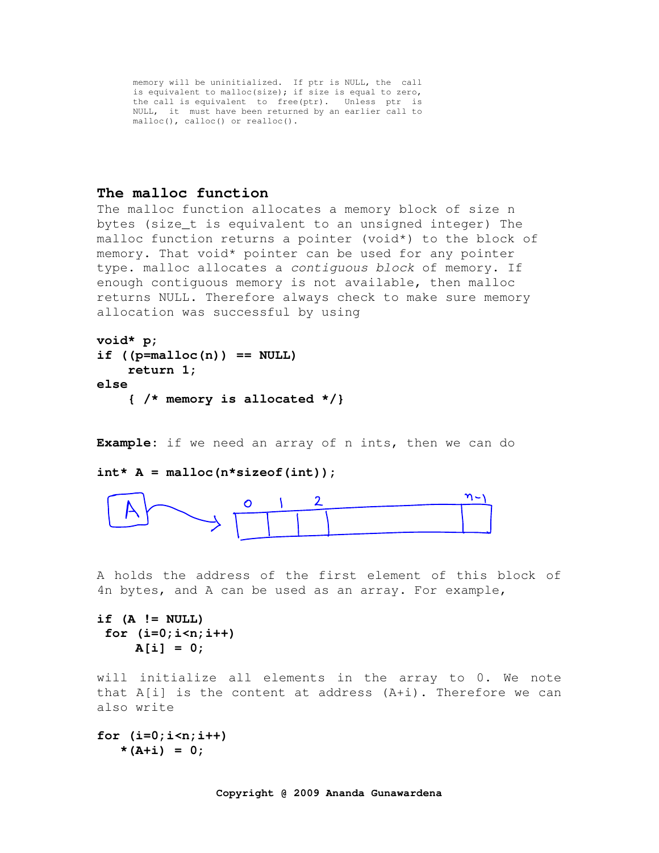memory will be uninitialized. If ptr is NULL, the call is equivalent to malloc(size); if size is equal to zero, the call is equivalent to free(ptr). Unless ptr is NULL, it must have been returned by an earlier call to malloc(), calloc() or realloc().

# **The malloc function**

The malloc function allocates a memory block of size n bytes (size\_t is equivalent to an unsigned integer) The malloc function returns a pointer (void\*) to the block of memory. That void\* pointer can be used for any pointer type. malloc allocates a contiguous block of memory. If enough contiguous memory is not available, then malloc returns NULL. Therefore always check to make sure memory allocation was successful by using

```
void* p;
```

```
if ((p=malloc(n)) == NULL) 
     return 1; 
else 
     { /* memory is allocated */}
```
**Example:** if we need an array of n ints, then we can do

### $int* A =$  malloc( $n*sizeof(int)$ );



A holds the address of the first element of this block of 4n bytes, and A can be used as an array. For example,

**if (A != NULL) for (i=0;i<n;i++)**   $A[i] = 0;$ 

will initialize all elements in the array to 0. We note that A[i] is the content at address (A+i). Therefore we can also write

**for (i=0;i<n;i++)**   $*(A+i) = 0;$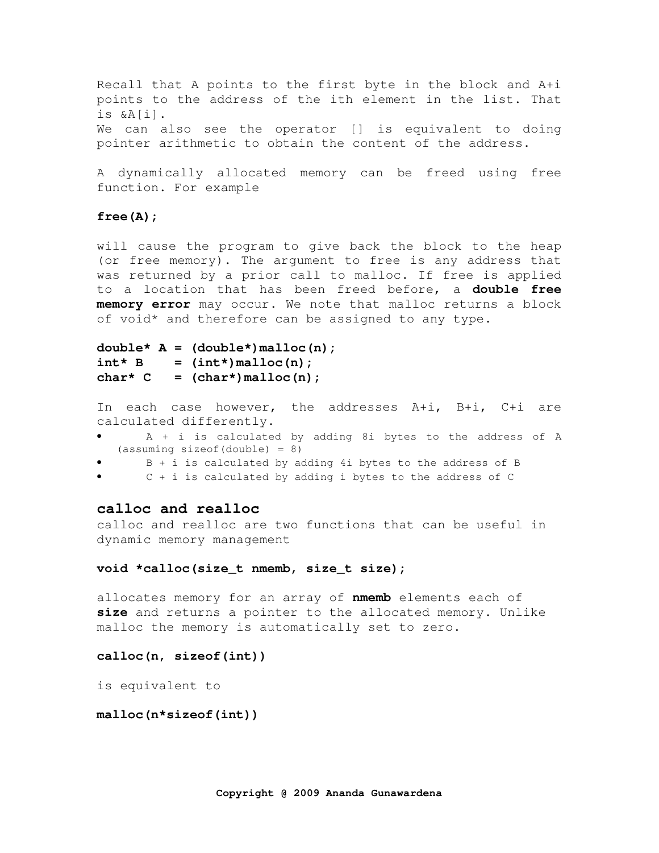Recall that A points to the first byte in the block and A+i points to the address of the ith element in the list. That is &A[i]. We can also see the operator [] is equivalent to doing pointer arithmetic to obtain the content of the address.

A dynamically allocated memory can be freed using free function. For example

#### **free(A);**

will cause the program to give back the block to the heap (or free memory). The argument to free is any address that was returned by a prior call to malloc. If free is applied to a location that has been freed before, a **double free memory error** may occur. We note that malloc returns a block of void\* and therefore can be assigned to any type.

```
double* A = (double*)malloc(n); 
int* B = (int*) malloc(n);
char<sup>*</sup> C = (char<sup>*</sup>) malloc(n);
```
In each case however, the addresses A+i, B+i, C+i are calculated differently.

- A + i is calculated by adding 8i bytes to the address of A (assuming sizeof(double) = 8)
- B + i is calculated by adding 4i bytes to the address of B
- $C + i$  is calculated by adding i bytes to the address of  $C$

### **calloc and realloc**

calloc and realloc are two functions that can be useful in dynamic memory management

### **void \*calloc(size\_t nmemb, size\_t size);**

allocates memory for an array of **nmemb** elements each of **size** and returns a pointer to the allocated memory. Unlike malloc the memory is automatically set to zero.

### **calloc(n, sizeof(int))**

is equivalent to

### **malloc(n\*sizeof(int))**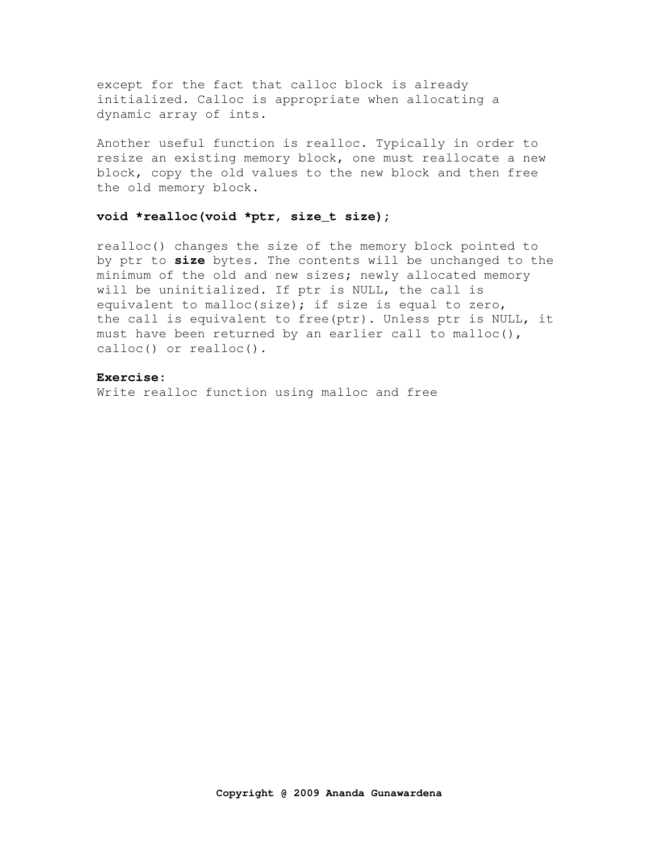except for the fact that calloc block is already initialized. Calloc is appropriate when allocating a dynamic array of ints.

Another useful function is realloc. Typically in order to resize an existing memory block, one must reallocate a new block, copy the old values to the new block and then free the old memory block.

### **void \*realloc(void \*ptr, size\_t size);**

realloc() changes the size of the memory block pointed to by ptr to **size** bytes. The contents will be unchanged to the minimum of the old and new sizes; newly allocated memory will be uninitialized. If ptr is NULL, the call is equivalent to malloc(size); if size is equal to zero, the call is equivalent to free(ptr). Unless ptr is NULL, it must have been returned by an earlier call to malloc(), calloc() or realloc().

### **Exercise:**

Write realloc function using malloc and free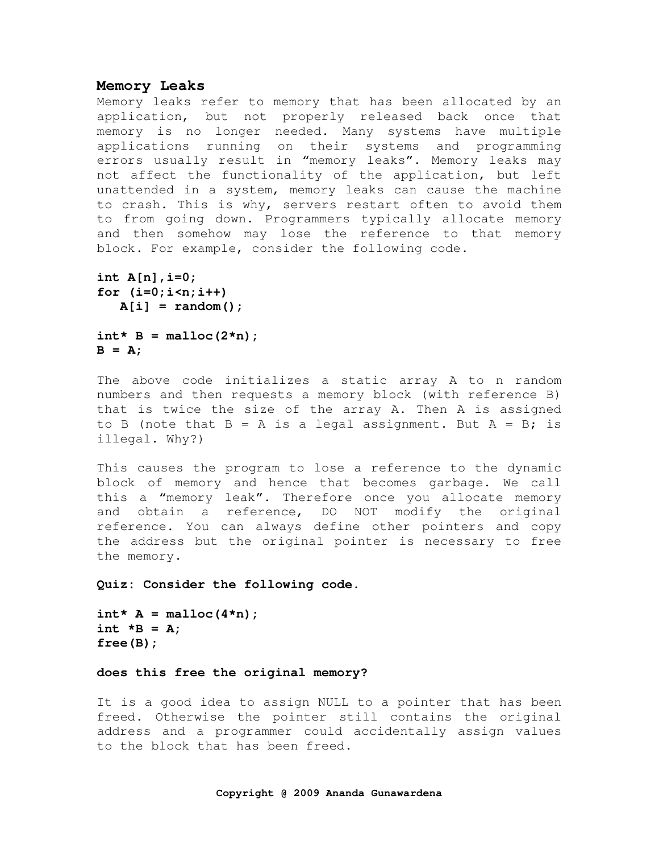### **Memory Leaks**

Memory leaks refer to memory that has been allocated by an application, but not properly released back once that memory is no longer needed. Many systems have multiple applications running on their systems and programming errors usually result in "memory leaks". Memory leaks may not affect the functionality of the application, but left unattended in a system, memory leaks can cause the machine to crash. This is why, servers restart often to avoid them to from going down. Programmers typically allocate memory and then somehow may lose the reference to that memory block. For example, consider the following code.

```
int A[n],i=0; 
for (i=0;i<n;i++) 
    A[i] = random();
```

```
int* B = malloc(2*n);B = A;
```
The above code initializes a static array A to n random numbers and then requests a memory block (with reference B) that is twice the size of the array A. Then A is assigned to B (note that  $B = A$  is a legal assignment. But  $A = B$ ; is illegal. Why?)

This causes the program to lose a reference to the dynamic block of memory and hence that becomes garbage. We call this a "memory leak". Therefore once you allocate memory and obtain a reference, DO NOT modify the original reference. You can always define other pointers and copy the address but the original pointer is necessary to free the memory.

**Quiz: Consider the following code.** 

```
int* A = malloc(4*n);int *B = A; 
free(B);
```
### **does this free the original memory?**

It is a good idea to assign NULL to a pointer that has been freed. Otherwise the pointer still contains the original address and a programmer could accidentally assign values to the block that has been freed.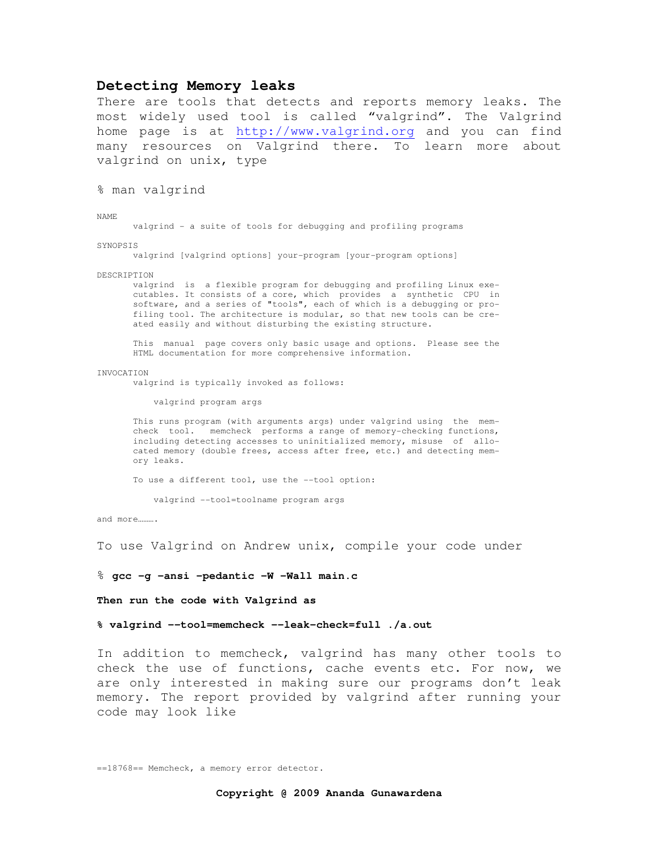### **Detecting Memory leaks**

There are tools that detects and reports memory leaks. The most widely used tool is called "valgrind". The Valgrind home page is at http://www.valgrind.org and you can find many resources on Valgrind there. To learn more about valgrind on unix, type

% man valgrind

NAME

valgrind - a suite of tools for debugging and profiling programs

SYNOPSIS

valgrind [valgrind options] your-program [your-program options]

DESCRIPTION

 valgrind is a flexible program for debugging and profiling Linux exe cutables. It consists of a core, which provides a synthetic CPU in software, and a series of "tools", each of which is a debugging or pro filing tool. The architecture is modular, so that new tools can be cre ated easily and without disturbing the existing structure.

 This manual page covers only basic usage and options. Please see the HTML documentation for more comprehensive information.

#### INVOCATION

valgrind is typically invoked as follows:

valgrind program args

 This runs program (with arguments args) under valgrind using the mem check tool. memcheck performs a range of memory-checking functions, including detecting accesses to uninitialized memory, misuse of allo cated memory (double frees, access after free, etc.) and detecting mem ory leaks.

To use a different tool, use the --tool option:

valgrind --tool=toolname program args

and more……

To use Valgrind on Andrew unix, compile your code under

% **gcc -g -ansi -pedantic -W -Wall main.c** 

**Then run the code with Valgrind as** 

**% valgrind --tool=memcheck --leak-check=full ./a.out**

In addition to memcheck, valgrind has many other tools to check the use of functions, cache events etc. For now, we are only interested in making sure our programs don't leak memory. The report provided by valgrind after running your code may look like

==18768== Memcheck, a memory error detector.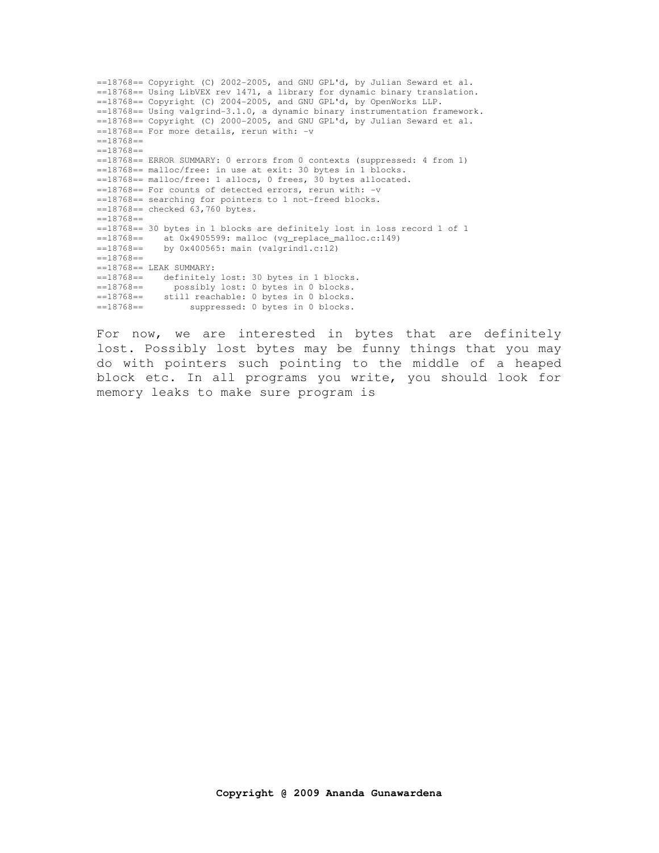==18768== Copyright (C) 2002-2005, and GNU GPL'd, by Julian Seward et al. ==18768== Using LibVEX rev 1471, a library for dynamic binary translation.  $==18768==$  Copyright (C) 2004-2005, and GNU GPL'd, by OpenWorks LLP. ==18768== Using valgrind-3.1.0, a dynamic binary instrumentation framework.  $=18768$ == Copyright (C) 2000-2005, and GNU GPL'd, by Julian Seward et al. ==18768== For more details, rerun with: -v  $=18768=$  $=18768=$ ==18768== ERROR SUMMARY: 0 errors from 0 contexts (suppressed: 4 from 1) ==18768== malloc/free: in use at exit: 30 bytes in 1 blocks. ==18768== malloc/free: 1 allocs, 0 frees, 30 bytes allocated. ==18768== For counts of detected errors, rerun with: -v ==18768== searching for pointers to 1 not-freed blocks. ==18768== checked 63,760 bytes.  $==18768==$ ==18768== 30 bytes in 1 blocks are definitely lost in loss record 1 of 1 ==18768== at 0x4905599: malloc (vg\_replace\_malloc.c:149) ==18768== by 0x400565: main (valgrind1.c:12)  $==18768==$  $==18768==$  LEAK SUMMARY: ==18768== definitely lost: 30 bytes in 1 blocks. ==18768== possibly lost: 0 bytes in 0 blocks. ==18768== still reachable: 0 bytes in 0 blocks. ==18768== suppressed: 0 bytes in 0 blocks.

For now, we are interested in bytes that are definitely lost. Possibly lost bytes may be funny things that you may do with pointers such pointing to the middle of a heaped block etc. In all programs you write, you should look for memory leaks to make sure program is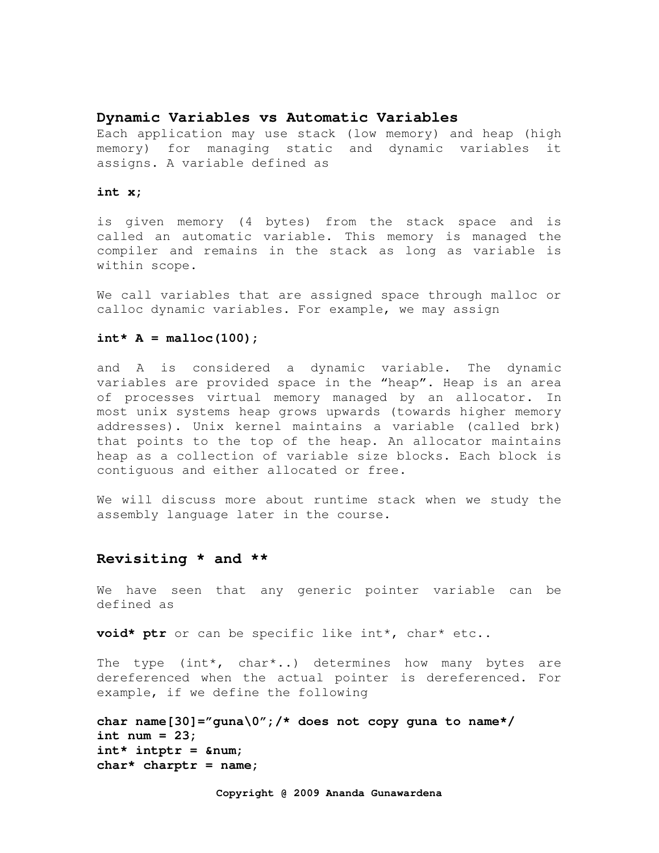### **Dynamic Variables vs Automatic Variables**

Each application may use stack (low memory) and heap (high memory) for managing static and dynamic variables it assigns. A variable defined as

#### **int x;**

is given memory (4 bytes) from the stack space and is called an automatic variable. This memory is managed the compiler and remains in the stack as long as variable is within scope.

We call variables that are assigned space through malloc or calloc dynamic variables. For example, we may assign

#### $int* A = malloc(100);$

and A is considered a dynamic variable. The dynamic variables are provided space in the "heap". Heap is an area of processes virtual memory managed by an allocator. In most unix systems heap grows upwards (towards higher memory addresses). Unix kernel maintains a variable (called brk) that points to the top of the heap. An allocator maintains heap as a collection of variable size blocks. Each block is contiguous and either allocated or free.

We will discuss more about runtime stack when we study the assembly language later in the course.

## **Revisiting \* and \*\***

We have seen that any generic pointer variable can be defined as

**void\* ptr** or can be specific like int\*, char\* etc..

The type (int\*, char\*..) determines how many bytes are dereferenced when the actual pointer is dereferenced. For example, if we define the following

```
char name[30]="guna\0";/* does not copy guna to name*/ 
int num = 23; 
int* intptr = \text{\textsterling} a min;char* charptr = name;
```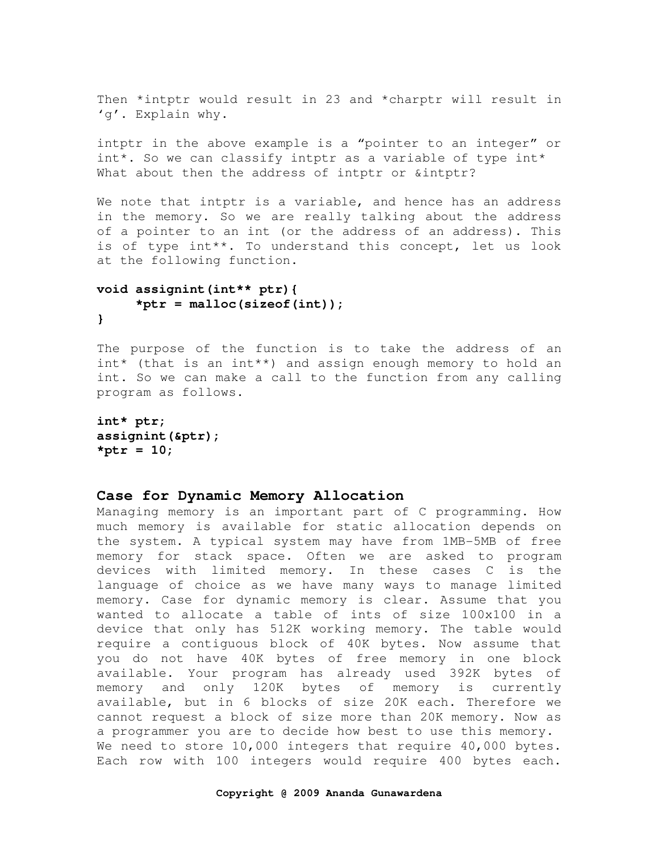Then \*intptr would result in 23 and \*charptr will result in 'g'. Explain why.

intptr in the above example is a "pointer to an integer" or int\*. So we can classify intptr as a variable of type int\* What about then the address of intptr or &intptr?

We note that intptr is a variable, and hence has an address in the memory. So we are really talking about the address of a pointer to an int (or the address of an address). This is of type int\*\*. To understand this concept, let us look at the following function.

# **void assignint(int\*\* ptr){ \*ptr = malloc(sizeof(int)); }**

The purpose of the function is to take the address of an int\* (that is an int\*\*) and assign enough memory to hold an int. So we can make a call to the function from any calling program as follows.

```
int* ptr; 
assignint(&ptr); 
*ptr = 10;
```
### **Case for Dynamic Memory Allocation**

Managing memory is an important part of C programming. How much memory is available for static allocation depends on the system. A typical system may have from 1MB-5MB of free memory for stack space. Often we are asked to program devices with limited memory. In these cases C is the language of choice as we have many ways to manage limited memory. Case for dynamic memory is clear. Assume that you wanted to allocate a table of ints of size 100x100 in a device that only has 512K working memory. The table would require a contiguous block of 40K bytes. Now assume that you do not have 40K bytes of free memory in one block available. Your program has already used 392K bytes of memory and only 120K bytes of memory is currently available, but in 6 blocks of size 20K each. Therefore we cannot request a block of size more than 20K memory. Now as a programmer you are to decide how best to use this memory. We need to store 10,000 integers that require 40,000 bytes. Each row with 100 integers would require 400 bytes each.

#### **Copyright @ 2009 Ananda Gunawardena**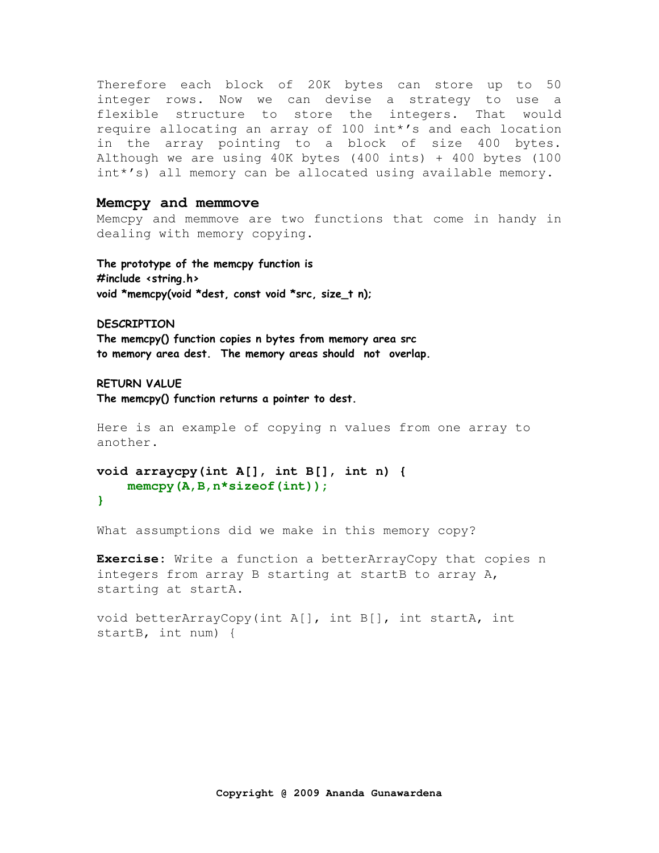Therefore each block of 20K bytes can store up to 50 integer rows. Now we can devise a strategy to use a flexible structure to store the integers. That would require allocating an array of 100 int\*'s and each location in the array pointing to a block of size 400 bytes. Although we are using 40K bytes (400 ints) + 400 bytes (100 int\*'s) all memory can be allocated using available memory.

### **Memcpy and memmove**

Memcpy and memmove are two functions that come in handy in dealing with memory copying.

The prototype of the memcpy function is #include <string.h> void \*memcpy(void \*dest, const void \*src, size\_t n);

DESCRIPTION

The memcpy() function copies n bytes from memory area src to memory area dest. The memory areas should not overlap.

RETURN VALUE

The memcpy() function returns a pointer to dest.

Here is an example of copying n values from one array to another.

```
void arraycpy(int A[], int B[], int n) { 
     memcpy(A,B,n*sizeof(int));
```
**}** 

What assumptions did we make in this memory copy?

**Exercise:** Write a function a betterArrayCopy that copies n integers from array B starting at startB to array A, starting at startA.

void betterArrayCopy(int A[], int B[], int startA, int startB, int num) {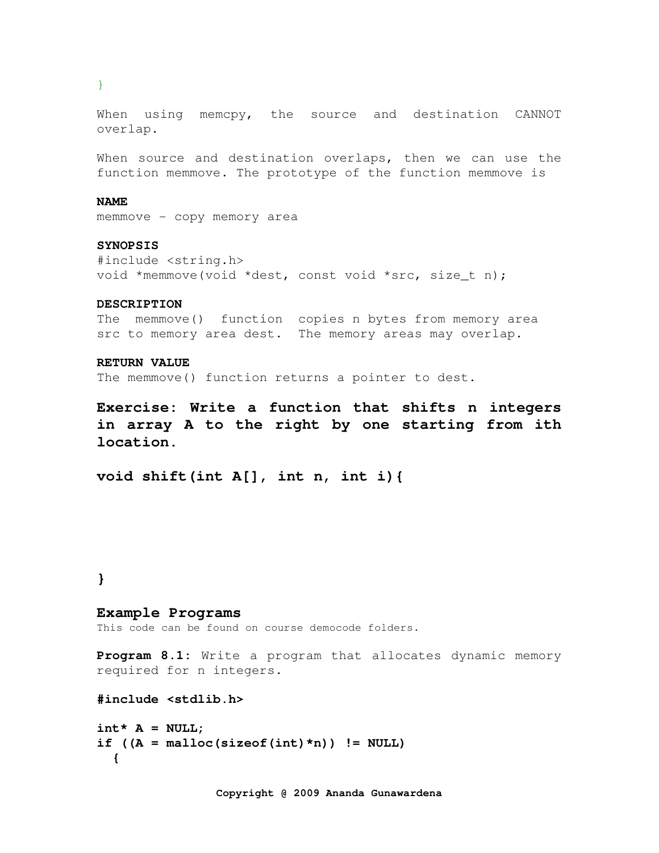}

When using memcpy, the source and destination CANNOT overlap.

When source and destination overlaps, then we can use the function memmove. The prototype of the function memmove is

#### **NAME**

memmove - copy memory area

### **SYNOPSIS**

#include <string.h> void \*memmove(void \*dest, const void \*src, size\_t n);

### **DESCRIPTION**

The memmove() function copies n bytes from memory area src to memory area dest. The memory areas may overlap.

### **RETURN VALUE**

The memmove() function returns a pointer to dest.

**Exercise: Write a function that shifts n integers in array A to the right by one starting from ith location.** 

**void shift(int A[], int n, int i){** 

### **}**

### **Example Programs**

This code can be found on course democode folders.

**Program 8.1:** Write a program that allocates dynamic memory required for n integers.

**#include <stdlib.h>** 

```
int* A = NULL;if ((A = \text{malloc}(sizeof(int) * n)) := \text{NULL}) {
```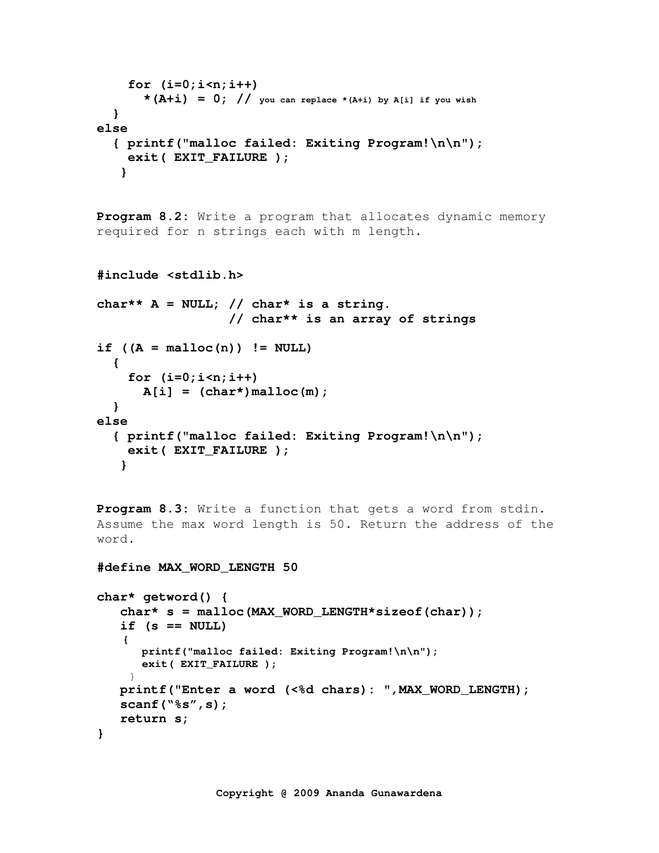```
 for (i=0;i<n;i++) 
       * (A+i) = 0; // you can replace *(A+i) by A[i] if you wish
   } 
else 
   { printf("malloc failed: Exiting Program!\n\n"); 
     exit( EXIT_FAILURE ); 
    }
```
**Program 8.2:** Write a program that allocates dynamic memory required for n strings each with m length.

```
#include <stdlib.h> 
char** A = NULL; // char* is a string. 
                     // char** is an array of strings 
if ((A = \text{malloc}(n)) := \text{NULL}) { 
     for (i=0;i<n;i++) 
       A[i] = (char<sup>*</sup>) malloc(m);
   } 
else 
   { printf("malloc failed: Exiting Program!\n\n"); 
     exit( EXIT_FAILURE ); 
    }
```
**Program 8.3:** Write a function that gets a word from stdin. Assume the max word length is 50. Return the address of the word.

**#define MAX\_WORD\_LENGTH 50** 

```
char* getword() { 
   char* s = malloc(MAX WORD LENGTH*sizeof(char));
    if (s == NULL) 
    { 
       printf("malloc failed: Exiting Program!\n\n"); 
       exit( EXIT_FAILURE ); 
 }
    printf("Enter a word (<%d chars): ",MAX_WORD_LENGTH); 
    scanf("%s",s); 
    return s; 
}
```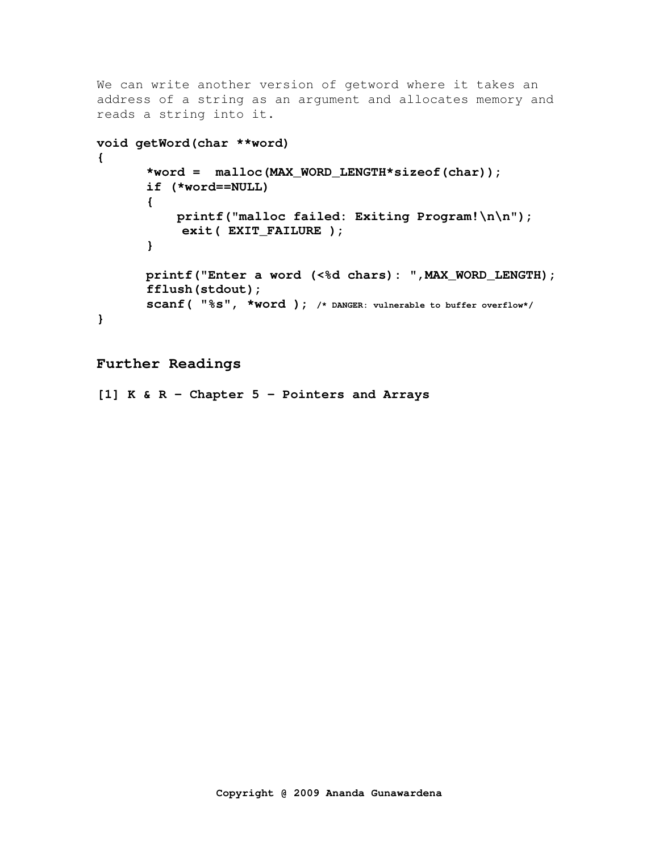```
We can write another version of getword where it takes an 
address of a string as an argument and allocates memory and 
reads a string into it. 
void getWord(char **word) 
{ 
        *word = malloc(MAX_WORD_LENGTH*sizeof(char)); 
        if (*word==NULL) 
        { 
            printf("malloc failed: Exiting Program!\n\n");
             exit( EXIT_FAILURE ); 
        } 
        printf("Enter a word (<%d chars): ",MAX_WORD_LENGTH); 
        fflush(stdout); 
        scanf( "%s", *word ); /* DANGER: vulnerable to buffer overflow*/ 
}
```
# **Further Readings**

**[1] K & R – Chapter 5 – Pointers and Arrays**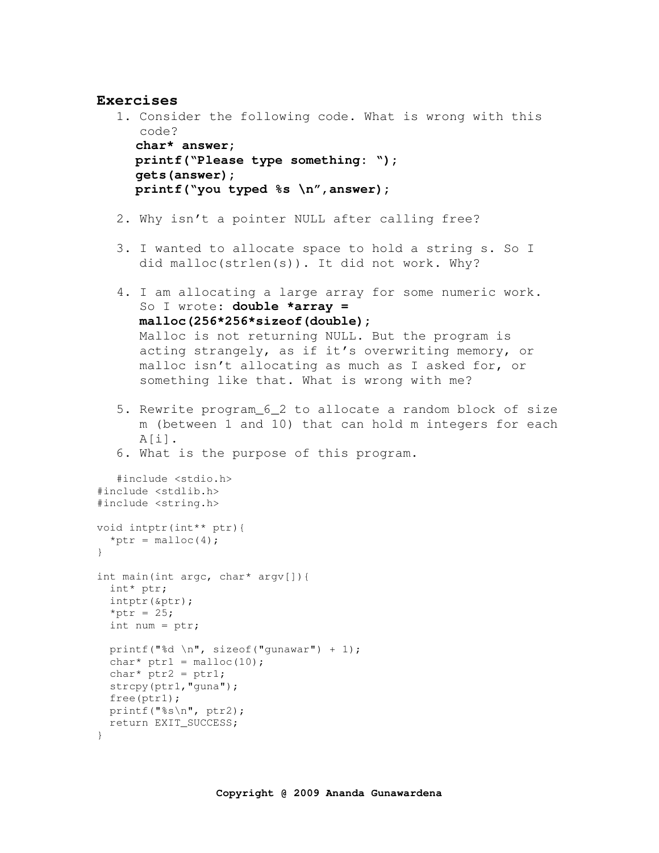### **Exercises**

```
1. Consider the following code. What is wrong with this 
      code? 
      char* answer; 
      printf("Please type something: "); 
      gets(answer); 
      printf("you typed %s \n",answer); 
   2. Why isn't a pointer NULL after calling free? 
   3. I wanted to allocate space to hold a string s. So I
      did malloc(strlen(s)). It did not work. Why? 
   4. I am allocating a large array for some numeric work. 
      So I wrote: double *array = 
      malloc(256*256*sizeof(double);
      Malloc is not returning NULL. But the program is 
      acting strangely, as if it's overwriting memory, or
      malloc isn't allocating as much as I asked for, or 
      something like that. What is wrong with me? 
   5. Rewrite program_6_2 to allocate a random block of size 
      m (between 1 and 10) that can hold m integers for each 
      A[i].
   6. What is the purpose of this program. 
   #include <stdio.h>
#include <stdlib.h> 
#include <string.h> 
void intptr(int** ptr){ 
 *ptr = malloc(4);
} 
int main(int argc, char* argv[]){ 
  int* ptr; 
  intptr(&ptr); 
 *ptr = 25; int num = ptr; 
 printf("%d \n", sizeof("gunawar") + 1);
 char* ptr1 = malloc(10);char* ptr2 = ptr1; strcpy(ptr1,"guna"); 
  free(ptr1); 
  printf("%s\n", ptr2); 
  return EXIT_SUCCESS; 
}
```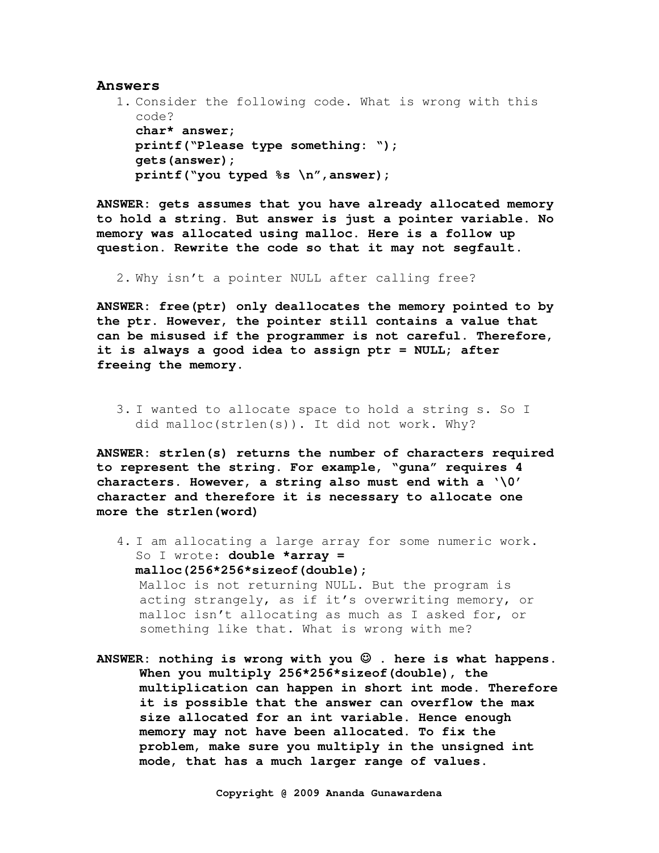#### **Answers**

```
1. Consider the following code. What is wrong with this 
  code? 
   char* answer; 
   printf("Please type something: "); 
   gets(answer); 
   printf("you typed %s \n",answer);
```
**ANSWER: gets assumes that you have already allocated memory to hold a string. But answer is just a pointer variable. No memory was allocated using malloc. Here is a follow up question. Rewrite the code so that it may not segfault.** 

2. Why isn't a pointer NULL after calling free?

**ANSWER: free(ptr) only deallocates the memory pointed to by the ptr. However, the pointer still contains a value that can be misused if the programmer is not careful. Therefore, it is always a good idea to assign ptr = NULL; after freeing the memory.**

3. I wanted to allocate space to hold a string s. So I did malloc(strlen(s)). It did not work. Why?

**ANSWER: strlen(s) returns the number of characters required to represent the string. For example, "guna" requires 4 characters. However, a string also must end with a '\0' character and therefore it is necessary to allocate one more the strlen(word)**

- 4. I am allocating a large array for some numeric work. So I wrote: **double \*array = malloc(256\*256\*sizeof(double);** Malloc is not returning NULL. But the program is acting strangely, as if it's overwriting memory, or malloc isn't allocating as much as I asked for, or something like that. What is wrong with me?
- **ANSWER: nothing is wrong with you** ☺ **. here is what happens. When you multiply 256\*256\*sizeof(double), the multiplication can happen in short int mode. Therefore it is possible that the answer can overflow the max size allocated for an int variable. Hence enough memory may not have been allocated. To fix the problem, make sure you multiply in the unsigned int mode, that has a much larger range of values.**